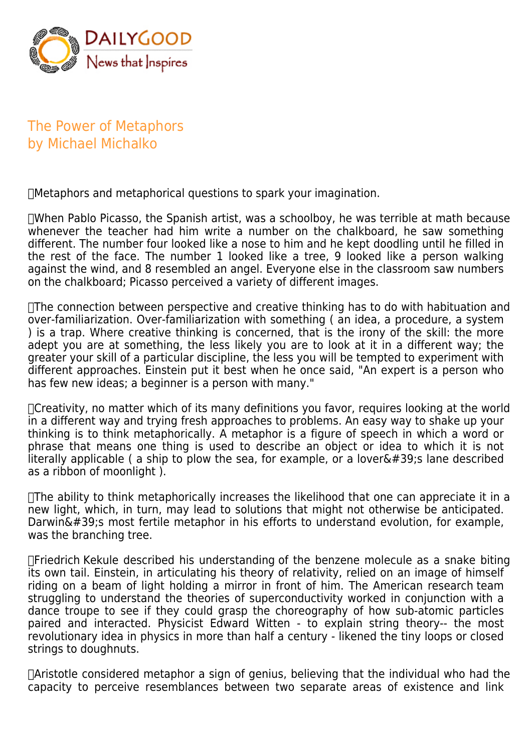

The Power of Metaphors by Michael Michalko

 Metaphors and metaphorical questions to spark your imagination.

 When Pablo Picasso, the Spanish artist, was a schoolboy, he was terrible at math because whenever the teacher had him write a number on the chalkboard, he saw something different. The number four looked like a nose to him and he kept doodling until he filled in the rest of the face. The number 1 looked like a tree, 9 looked like a person walking against the wind, and 8 resembled an angel. Everyone else in the classroom saw numbers on the chalkboard; Picasso perceived a variety of different images.

 The connection between perspective and creative thinking has to do with habituation and over-familiarization. Over-familiarization with something ( an idea, a procedure, a system ) is a trap. Where creative thinking is concerned, that is the irony of the skill: the more adept you are at something, the less likely you are to look at it in a different way; the greater your skill of a particular discipline, the less you will be tempted to experiment with different approaches. Einstein put it best when he once said, "An expert is a person who has few new ideas; a beginner is a person with many."

 Creativity, no matter which of its many definitions you favor, requires looking at the world in a different way and trying fresh approaches to problems. An easy way to shake up your thinking is to think metaphorically. A metaphor is a figure of speech in which a word or phrase that means one thing is used to describe an object or idea to which it is not literally applicable (a ship to plow the sea, for example, or a lover $\&\#39$ ; lane described as a ribbon of moonlight ).

 $\Box$ The ability to think metaphorically increases the likelihood that one can appreciate it in a new light, which, in turn, may lead to solutions that might not otherwise be anticipated. Darwin' s most fertile metaphor in his efforts to understand evolution, for example, was the branching tree.

 Friedrich Kekule described his understanding of the benzene molecule as a snake biting its own tail. Einstein, in articulating his theory of relativity, relied on an image of himself riding on a beam of light holding a mirror in front of him. The American research team struggling to understand the theories of superconductivity worked in conjunction with a dance troupe to see if they could grasp the choreography of how sub-atomic particles paired and interacted. Physicist Edward Witten - to explain string theory-- the most revolutionary idea in physics in more than half a century - likened the tiny loops or closed strings to doughnuts.

 Aristotle considered metaphor a sign of genius, believing that the individual who had the capacity to perceive resemblances between two separate areas of existence and link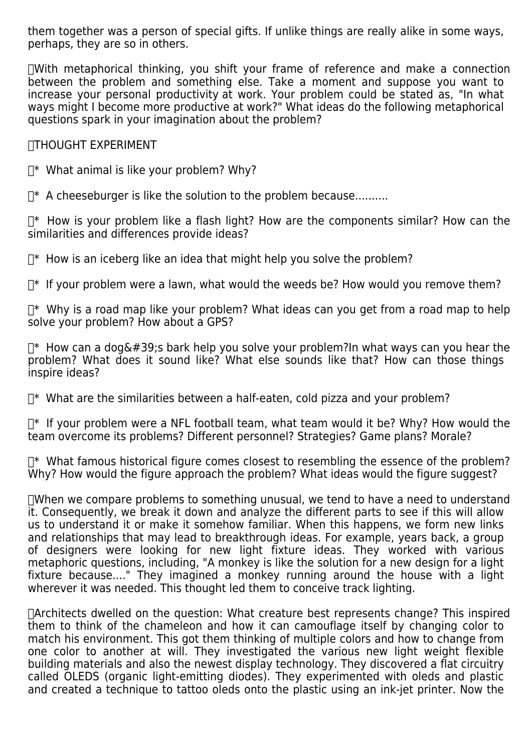them together was a person of special gifts. If unlike things are really alike in some ways, perhaps, they are so in others.

 With metaphorical thinking, you shift your frame of reference and make a connection between the problem and something else. Take a moment and suppose you want to increase your personal productivity at work. Your problem could be stated as, "In what ways might I become more productive at work?" What ideas do the following metaphorical questions spark in your imagination about the problem?

## THOUGHT EXPERIMENT

 $\mathbb{T}^*$  What animal is like your problem? Why?

 $\mathbb{T}^*$  A cheeseburger is like the solution to the problem because.........

 $\mathbb{T}^*$  How is your problem like a flash light? How are the components similar? How can the similarities and differences provide ideas?

 $\mathbb{R}^*$  How is an iceberg like an idea that might help you solve the problem?

 $\mathbb{T}^*$  If your problem were a lawn, what would the weeds be? How would you remove them?

 $\mathbb{T}^*$  Why is a road map like your problem? What ideas can you get from a road map to help solve your problem? How about a GPS?

 $\mathbb{T}^*$  How can a dog's bark help you solve your problem?In what ways can you hear the problem? What does it sound like? What else sounds like that? How can those things inspire ideas?

 $\mathbb{T}^*$  What are the similarities between a half-eaten, cold pizza and your problem?

 $\mathbb{T}^*$  If your problem were a NFL football team, what team would it be? Why? How would the team overcome its problems? Different personnel? Strategies? Game plans? Morale?

 $\mathbb{T}^*$  What famous historical figure comes closest to resembling the essence of the problem? Why? How would the figure approach the problem? What ideas would the figure suggest?

 $\Box$ When we compare problems to something unusual, we tend to have a need to understand it. Consequently, we break it down and analyze the different parts to see if this will allow us to understand it or make it somehow familiar. When this happens, we form new links and relationships that may lead to breakthrough ideas. For example, years back, a group of designers were looking for new light fixture ideas. They worked with various metaphoric questions, including, "A monkey is like the solution for a new design for a light fixture because...." They imagined a monkey running around the house with a light wherever it was needed. This thought led them to conceive track lighting.

 Architects dwelled on the question: What creature best represents change? This inspired them to think of the chameleon and how it can camouflage itself by changing color to match his environment. This got them thinking of multiple colors and how to change from one color to another at will. They investigated the various new light weight flexible building materials and also the newest display technology. They discovered a flat circuitry called OLEDS (organic light-emitting diodes). They experimented with oleds and plastic and created a technique to tattoo oleds onto the plastic using an ink-jet printer. Now the